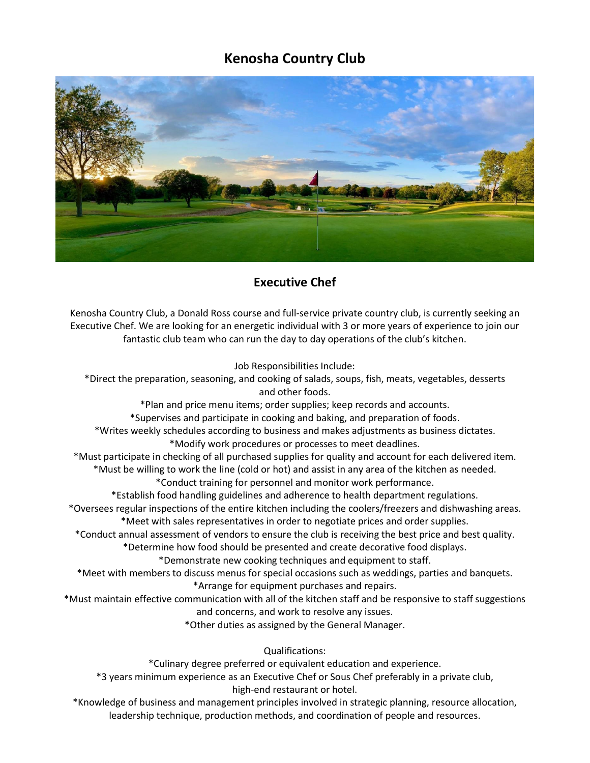## **Kenosha Country Club**



## **Executive Chef**

Kenosha Country Club, a Donald Ross course and full-service private country club, is currently seeking an Executive Chef. We are looking for an energetic individual with 3 or more years of experience to join our fantastic club team who can run the day to day operations of the club's kitchen.

Job Responsibilities Include:

\*Direct the preparation, seasoning, and cooking of salads, soups, fish, meats, vegetables, desserts and other foods. \*Plan and price menu items; order supplies; keep records and accounts. \*Supervises and participate in cooking and baking, and preparation of foods. \*Writes weekly schedules according to business and makes adjustments as business dictates. \*Modify work procedures or processes to meet deadlines. \*Must participate in checking of all purchased supplies for quality and account for each delivered item. \*Must be willing to work the line (cold or hot) and assist in any area of the kitchen as needed. \*Conduct training for personnel and monitor work performance. \*Establish food handling guidelines and adherence to health department regulations. \*Oversees regular inspections of the entire kitchen including the coolers/freezers and dishwashing areas. \*Meet with sales representatives in order to negotiate prices and order supplies. \*Conduct annual assessment of vendors to ensure the club is receiving the best price and best quality. \*Determine how food should be presented and create decorative food displays.

\*Demonstrate new cooking techniques and equipment to staff.

\*Meet with members to discuss menus for special occasions such as weddings, parties and banquets. \*Arrange for equipment purchases and repairs.

\*Must maintain effective communication with all of the kitchen staff and be responsive to staff suggestions and concerns, and work to resolve any issues.

\*Other duties as assigned by the General Manager.

Qualifications:

\*Culinary degree preferred or equivalent education and experience.

\*3 years minimum experience as an Executive Chef or Sous Chef preferably in a private club, high-end restaurant or hotel.

\*Knowledge of business and management principles involved in strategic planning, resource allocation, leadership technique, production methods, and coordination of people and resources.